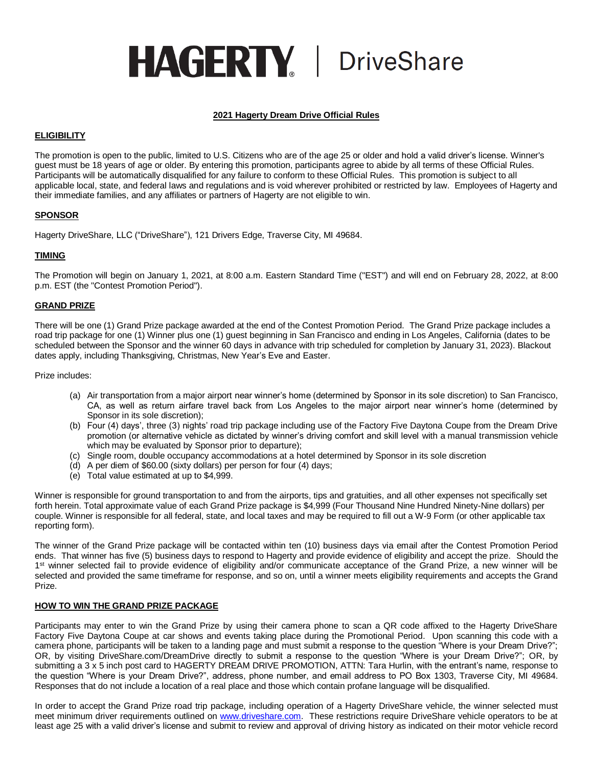# **HAGERTY** DriveShare

# **2021 Hagerty Dream Drive Official Rules**

## **ELIGIBILITY**

The promotion is open to the public, limited to U.S. Citizens who are of the age 25 or older and hold a valid driver's license. Winner's guest must be 18 years of age or older. By entering this promotion, participants agree to abide by all terms of these Official Rules. Participants will be automatically disqualified for any failure to conform to these Official Rules. This promotion is subject to all applicable local, state, and federal laws and regulations and is void wherever prohibited or restricted by law. Employees of Hagerty and their immediate families, and any affiliates or partners of Hagerty are not eligible to win.

# **SPONSOR**

Hagerty DriveShare, LLC ("DriveShare"), 121 Drivers Edge, Traverse City, MI 49684.

# **TIMING**

The Promotion will begin on January 1, 2021, at 8:00 a.m. Eastern Standard Time ("EST") and will end on February 28, 2022, at 8:00 p.m. EST (the "Contest Promotion Period").

## **GRAND PRIZE**

There will be one (1) Grand Prize package awarded at the end of the Contest Promotion Period. The Grand Prize package includes a road trip package for one (1) Winner plus one (1) guest beginning in San Francisco and ending in Los Angeles, California (dates to be scheduled between the Sponsor and the winner 60 days in advance with trip scheduled for completion by January 31, 2023). Blackout dates apply, including Thanksgiving, Christmas, New Year's Eve and Easter.

Prize includes:

- (a) Air transportation from a major airport near winner's home (determined by Sponsor in its sole discretion) to San Francisco, CA, as well as return airfare travel back from Los Angeles to the major airport near winner's home (determined by Sponsor in its sole discretion);
- (b) Four (4) days', three (3) nights' road trip package including use of the Factory Five Daytona Coupe from the Dream Drive promotion (or alternative vehicle as dictated by winner's driving comfort and skill level with a manual transmission vehicle which may be evaluated by Sponsor prior to departure);
- (c) Single room, double occupancy accommodations at a hotel determined by Sponsor in its sole discretion
- (d) A per diem of \$60.00 (sixty dollars) per person for four (4) days;
- (e) Total value estimated at up to \$4,999.

Winner is responsible for ground transportation to and from the airports, tips and gratuities, and all other expenses not specifically set forth herein. Total approximate value of each Grand Prize package is \$4,999 (Four Thousand Nine Hundred Ninety-Nine dollars) per couple. Winner is responsible for all federal, state, and local taxes and may be required to fill out a W-9 Form (or other applicable tax reporting form).

The winner of the Grand Prize package will be contacted within ten (10) business days via email after the Contest Promotion Period ends. That winner has five (5) business days to respond to Hagerty and provide evidence of eligibility and accept the prize. Should the 1<sup>st</sup> winner selected fail to provide evidence of eligibility and/or communicate acceptance of the Grand Prize, a new winner will be selected and provided the same timeframe for response, and so on, until a winner meets eligibility requirements and accepts the Grand Prize.

# **HOW TO WIN THE GRAND PRIZE PACKAGE**

Participants may enter to win the Grand Prize by using their camera phone to scan a QR code affixed to the Hagerty DriveShare Factory Five Daytona Coupe at car shows and events taking place during the Promotional Period. Upon scanning this code with a camera phone, participants will be taken to a landing page and must submit a response to the question "Where is your Dream Drive?"; OR, by visiting DriveShare.com/DreamDrive directly to submit a response to the question "Where is your Dream Drive?"; OR, by submitting a 3 x 5 inch post card to HAGERTY DREAM DRIVE PROMOTION, ATTN: Tara Hurlin, with the entrant's name, response to the question "Where is your Dream Drive?", address, phone number, and email address to PO Box 1303, Traverse City, MI 49684. Responses that do not include a location of a real place and those which contain profane language will be disqualified.

In order to accept the Grand Prize road trip package, including operation of a Hagerty DriveShare vehicle, the winner selected must meet minimum driver requirements outlined on [www.driveshare.com.](http://www.driveshare.com/) These restrictions require DriveShare vehicle operators to be at least age 25 with a valid driver's license and submit to review and approval of driving history as indicated on their motor vehicle record